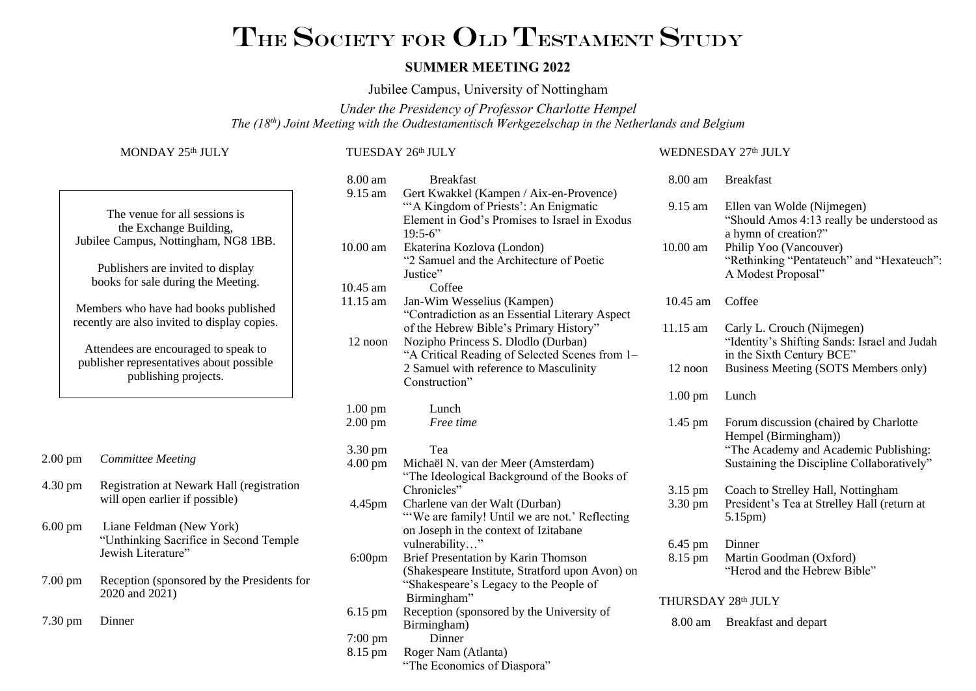# THE SOCIETY FOR OLD TESTAMENT STUDY

#### **SUMMER MEETING 2022**

Jubilee Campus, University of Nottingham

*Under the Presidency of Professor Charlotte Hempel The (18th) Joint Meeting with the Oudtestamentisch Werkgezelschap in the Netherlands and Belgium*

#### MONDAY 25<sup>th</sup> JULY

TUESDAY 26 th JULY

## The venue for all sessions is the Exchange Building, Jubilee Campus, Nottingham, NG8 1BB. Publishers are invited to display books for sale during the Meeting. Members who have had books published recently are also invited to display copies. Attendees are encouraged to speak to publisher representatives about possible publishing projects. 2.00 pm *Committee Meeting* 4.30 pm Registration at Newark Hall (registration will open earlier if possible) 6.00 pm Liane Feldman (New York) "Unthinking Sacrifice in Second Temple Jewish Literature" 7.00 pm Reception (sponsored by the Presidents for 2020 and 2021) 7.30 pm Dinner

| 8.00 am           | <b>Breakfast</b>                                |
|-------------------|-------------------------------------------------|
| 9.15 am           | Gert Kwakkel (Kampen / Aix-en-Provence)         |
|                   | "A Kingdom of Priests': An Enigmatic            |
|                   | Element in God's Promises to Israel in Exodus   |
|                   | $19:5-6"$                                       |
| 10.00 am          | Ekaterina Kozlova (London)                      |
|                   | "2 Samuel and the Architecture of Poetic        |
|                   | Justice"                                        |
| 10.45 am          | Coffee                                          |
| 11.15 am          | Jan-Wim Wesselius (Kampen)                      |
|                   | "Contradiction as an Essential Literary Aspect  |
|                   | of the Hebrew Bible's Primary History"          |
| 12 noon           | Nozipho Princess S. Dlodlo (Durban)             |
|                   | "A Critical Reading of Selected Scenes from 1-  |
|                   | 2 Samuel with reference to Masculinity          |
|                   | Construction"                                   |
| $1.00 \text{ pm}$ | Lunch                                           |
| $2.00$ pm         | Free time                                       |
|                   |                                                 |
| 3.30 pm           | Tea                                             |
| $4.00 \text{ pm}$ | Michaël N. van der Meer (Amsterdam)             |
|                   | "The Ideological Background of the Books of     |
|                   | Chronicles"                                     |
| 4.45pm            | Charlene van der Walt (Durban)                  |
|                   | "We are family! Until we are not.' Reflecting   |
|                   | on Joseph in the context of Izitabane           |
|                   | vulnerability"                                  |
| $6:00$ pm         | Brief Presentation by Karin Thomson             |
|                   | (Shakespeare Institute, Stratford upon Avon) on |
|                   | "Shakespeare's Legacy to the People of          |
|                   | Birmingham"                                     |
| $6.15 \text{ pm}$ | Reception (sponsored by the University of       |
|                   | Birmingham)                                     |
| $7:00 \text{ pm}$ | Dinner                                          |
| 8.15 pm           | Roger Nam (Atlanta)                             |
|                   | "The Economics of Diaspora"                     |

#### WEDNESDAY 27th JULY

8.00 am Breakfast

| 0.WV 4111           | DIVANIAN                                                                                                                                                                                     |  |
|---------------------|----------------------------------------------------------------------------------------------------------------------------------------------------------------------------------------------|--|
| 9.15 am<br>10.00 am | Ellen van Wolde (Nijmegen)<br>"Should Amos 4:13 really be understood as<br>a hymn of creation?"<br>Philip Yoo (Vancouver)<br>"Rethinking "Pentateuch" and "Hexateuch":<br>A Modest Proposal" |  |
| $10.45$ am          | Coffee                                                                                                                                                                                       |  |
| 11.15 am            | Carly L. Crouch (Nijmegen)<br>"Identity's Shifting Sands: Israel and Judah<br>in the Sixth Century BCE"                                                                                      |  |
| $12$ noon           | <b>Business Meeting (SOTS Members only)</b>                                                                                                                                                  |  |
| $1.00 \text{ pm}$   | Lunch                                                                                                                                                                                        |  |
| $1.45$ pm           | Forum discussion (chaired by Charlotte<br>Hempel (Birmingham))<br>"The Academy and Academic Publishing:<br>Sustaining the Discipline Collaboratively"                                        |  |
| 3.15 pm<br>3.30 pm  | Coach to Strelley Hall, Nottingham<br>President's Tea at Strelley Hall (return at<br>5.15pm)                                                                                                 |  |
| 6.45 pm<br>8.15 pm  | Dinner<br>Martin Goodman (Oxford)<br>"Herod and the Hebrew Bible"                                                                                                                            |  |
| THURSDAY 28th JULY  |                                                                                                                                                                                              |  |

8.00 am Breakfast and depart